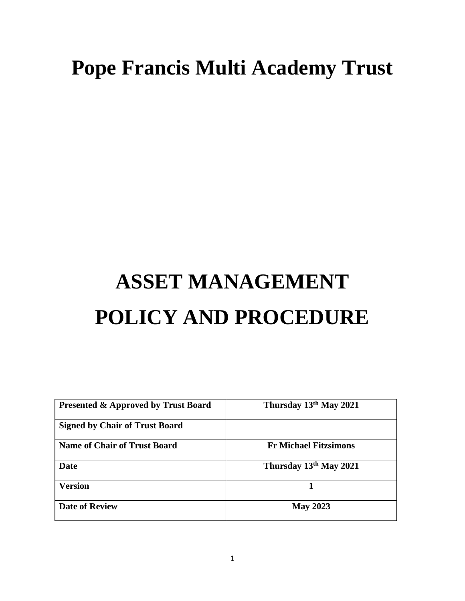# **Pope Francis Multi Academy Trust**

# **ASSET MANAGEMENT POLICY AND PROCEDURE**

| Thursday 13th May 2021       |
|------------------------------|
|                              |
| <b>Fr Michael Fitzsimons</b> |
| Thursday 13th May 2021       |
|                              |
| <b>May 2023</b>              |
|                              |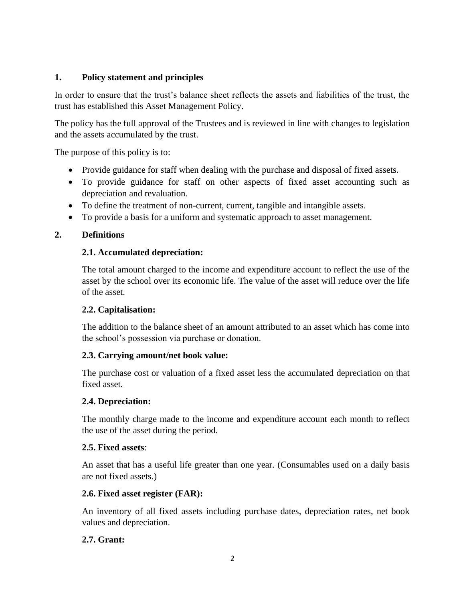# **1. Policy statement and principles**

In order to ensure that the trust's balance sheet reflects the assets and liabilities of the trust, the trust has established this Asset Management Policy.

The policy has the full approval of the Trustees and is reviewed in line with changes to legislation and the assets accumulated by the trust.

The purpose of this policy is to:

- Provide guidance for staff when dealing with the purchase and disposal of fixed assets.
- To provide guidance for staff on other aspects of fixed asset accounting such as depreciation and revaluation.
- To define the treatment of non-current, current, tangible and intangible assets.
- To provide a basis for a uniform and systematic approach to asset management.

# **2. Definitions**

# **2.1. Accumulated depreciation:**

The total amount charged to the income and expenditure account to reflect the use of the asset by the school over its economic life. The value of the asset will reduce over the life of the asset.

# **2.2. Capitalisation:**

The addition to the balance sheet of an amount attributed to an asset which has come into the school's possession via purchase or donation.

# **2.3. Carrying amount/net book value:**

The purchase cost or valuation of a fixed asset less the accumulated depreciation on that fixed asset.

# **2.4. Depreciation:**

The monthly charge made to the income and expenditure account each month to reflect the use of the asset during the period.

# **2.5. Fixed assets**:

An asset that has a useful life greater than one year. (Consumables used on a daily basis are not fixed assets.)

# **2.6. Fixed asset register (FAR):**

An inventory of all fixed assets including purchase dates, depreciation rates, net book values and depreciation.

# **2.7. Grant:**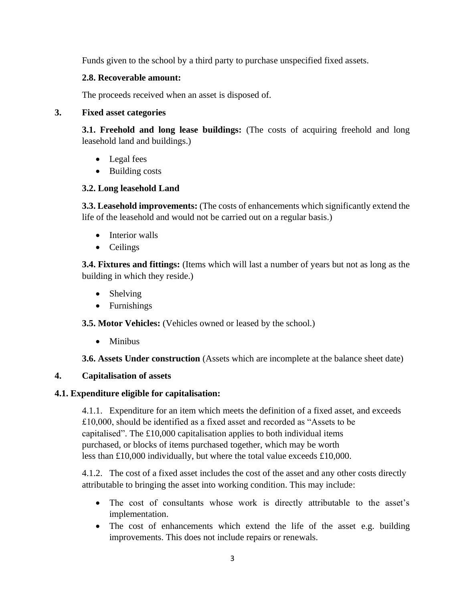Funds given to the school by a third party to purchase unspecified fixed assets.

# **2.8. Recoverable amount:**

The proceeds received when an asset is disposed of.

# **3. Fixed asset categories**

**3.1. Freehold and long lease buildings:** (The costs of acquiring freehold and long leasehold land and buildings.)

- Legal fees
- Building costs

# **3.2. Long leasehold Land**

**3.3. Leasehold improvements:** (The costs of enhancements which significantly extend the life of the leasehold and would not be carried out on a regular basis.)

- Interior walls
- Ceilings

**3.4. Fixtures and fittings:** (Items which will last a number of years but not as long as the building in which they reside.)

- Shelving
- Furnishings

**3.5. Motor Vehicles:** (Vehicles owned or leased by the school.)

• Minibus

**3.6. Assets Under construction** (Assets which are incomplete at the balance sheet date)

# **4. Capitalisation of assets**

# **4.1. Expenditure eligible for capitalisation:**

4.1.1. Expenditure for an item which meets the definition of a fixed asset, and exceeds £10,000, should be identified as a fixed asset and recorded as "Assets to be capitalised". The £10,000 capitalisation applies to both individual items purchased, or blocks of items purchased together, which may be worth less than £10,000 individually, but where the total value exceeds £10,000.

4.1.2. The cost of a fixed asset includes the cost of the asset and any other costs directly attributable to bringing the asset into working condition. This may include:

- The cost of consultants whose work is directly attributable to the asset's implementation.
- The cost of enhancements which extend the life of the asset e.g. building improvements. This does not include repairs or renewals.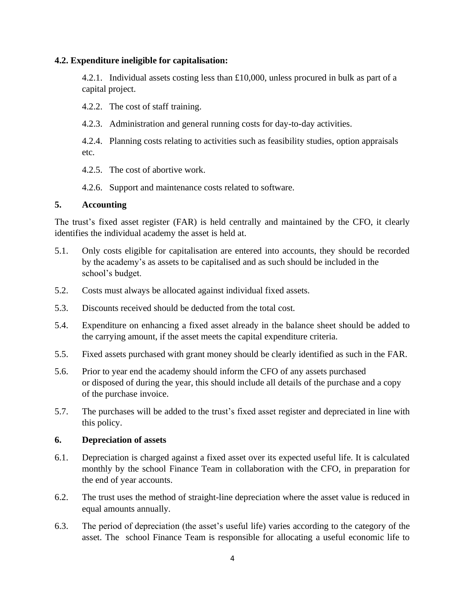#### **4.2. Expenditure ineligible for capitalisation:**

4.2.1. Individual assets costing less than  $\pounds 10,000$ , unless procured in bulk as part of a capital project.

4.2.2. The cost of staff training.

4.2.3. Administration and general running costs for day-to-day activities.

4.2.4. Planning costs relating to activities such as feasibility studies, option appraisals etc.

4.2.5. The cost of abortive work.

4.2.6. Support and maintenance costs related to software.

#### **5. Accounting**

The trust's fixed asset register (FAR) is held centrally and maintained by the CFO, it clearly identifies the individual academy the asset is held at.

- 5.1. Only costs eligible for capitalisation are entered into accounts, they should be recorded by the academy's as assets to be capitalised and as such should be included in the school's budget.
- 5.2. Costs must always be allocated against individual fixed assets.
- 5.3. Discounts received should be deducted from the total cost.
- 5.4. Expenditure on enhancing a fixed asset already in the balance sheet should be added to the carrying amount, if the asset meets the capital expenditure criteria.
- 5.5. Fixed assets purchased with grant money should be clearly identified as such in the FAR.
- 5.6. Prior to year end the academy should inform the CFO of any assets purchased or disposed of during the year, this should include all details of the purchase and a copy of the purchase invoice.
- 5.7. The purchases will be added to the trust's fixed asset register and depreciated in line with this policy.

#### **6. Depreciation of assets**

- 6.1. Depreciation is charged against a fixed asset over its expected useful life. It is calculated monthly by the school Finance Team in collaboration with the CFO, in preparation for the end of year accounts.
- 6.2. The trust uses the method of straight-line depreciation where the asset value is reduced in equal amounts annually.
- 6.3. The period of depreciation (the asset's useful life) varies according to the category of the asset. The school Finance Team is responsible for allocating a useful economic life to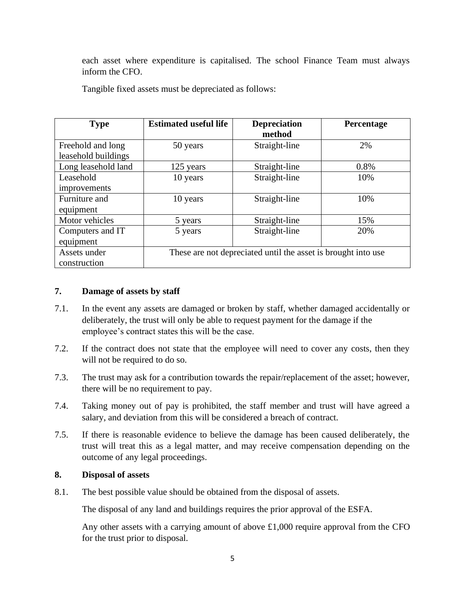each asset where expenditure is capitalised. The school Finance Team must always inform the CFO.

Tangible fixed assets must be depreciated as follows:

| <b>Type</b>         | <b>Estimated useful life</b>                                  | <b>Depreciation</b> | Percentage |
|---------------------|---------------------------------------------------------------|---------------------|------------|
|                     |                                                               | method              |            |
| Freehold and long   | 50 years                                                      | Straight-line       | 2%         |
| leasehold buildings |                                                               |                     |            |
| Long leasehold land | 125 years                                                     | Straight-line       | 0.8%       |
| Leasehold           | 10 years                                                      | Straight-line       | 10%        |
| improvements        |                                                               |                     |            |
| Furniture and       | 10 years                                                      | Straight-line       | 10%        |
| equipment           |                                                               |                     |            |
| Motor vehicles      | 5 years                                                       | Straight-line       | 15%        |
| Computers and IT    | 5 years                                                       | Straight-line       | 20%        |
| equipment           |                                                               |                     |            |
| Assets under        | These are not depreciated until the asset is brought into use |                     |            |
| construction        |                                                               |                     |            |

#### **7. Damage of assets by staff**

- 7.1. In the event any assets are damaged or broken by staff, whether damaged accidentally or deliberately, the trust will only be able to request payment for the damage if the employee's contract states this will be the case.
- 7.2. If the contract does not state that the employee will need to cover any costs, then they will not be required to do so.
- 7.3. The trust may ask for a contribution towards the repair/replacement of the asset; however, there will be no requirement to pay.
- 7.4. Taking money out of pay is prohibited, the staff member and trust will have agreed a salary, and deviation from this will be considered a breach of contract.
- 7.5. If there is reasonable evidence to believe the damage has been caused deliberately, the trust will treat this as a legal matter, and may receive compensation depending on the outcome of any legal proceedings.

#### **8. Disposal of assets**

8.1. The best possible value should be obtained from the disposal of assets.

The disposal of any land and buildings requires the prior approval of the ESFA.

Any other assets with a carrying amount of above £1,000 require approval from the CFO for the trust prior to disposal.